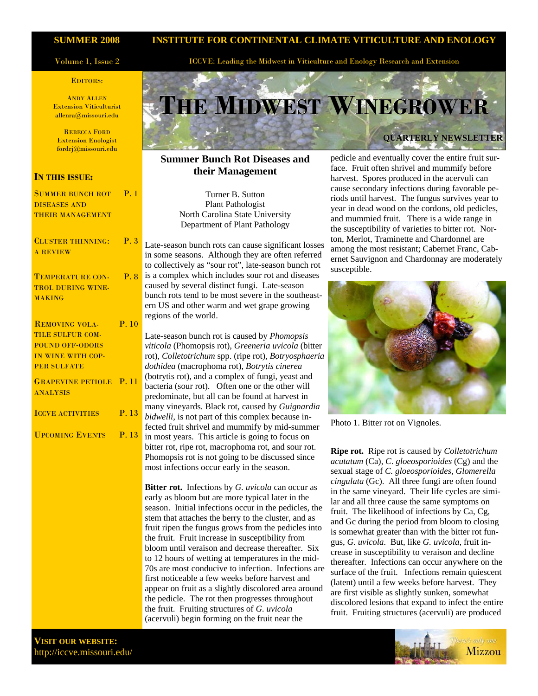#### **SUMMER 2008**

#### Volume 1, Issue 2

#### EDITORS:

ANDY ALLEN Extension Viticulturist allenra@missouri.edu

REBECCA FORD Extension Enologist fordrj@missouri.edu

### **IN THIS ISSUE:**

| <b>SUMMER BUNCH ROT P. 1</b>                      |       |
|---------------------------------------------------|-------|
| <b>DISEASES AND</b>                               |       |
| <b>THEIR MANAGEMENT</b>                           |       |
|                                                   |       |
| <b>CLUSTER THINNING:</b> P. 3                     |       |
| <b>A REVIEW</b>                                   |       |
|                                                   |       |
| <b>TEMPERATURE CON- P.8</b>                       |       |
| <b>TROL DURING WINE-</b>                          |       |
| <b>MAKING</b>                                     |       |
|                                                   |       |
| <b>REMOVING VOLA-</b>                             | P.10  |
| TILE SULFUR COM-                                  |       |
| <b>POUND OFF-ODORS</b>                            |       |
| IN WINE WITH COP-                                 |       |
| <b>PER SULFATE</b>                                |       |
|                                                   |       |
| <b>GRAPEVINE PETIOLE P. 11</b><br><b>ANALYSIS</b> |       |
|                                                   |       |
| <b>ICCVE ACTIVITIES</b>                           | P. 13 |
|                                                   |       |
| <b>UPCOMING EVENTS P. 13</b>                      |       |
|                                                   |       |
|                                                   |       |
|                                                   |       |
|                                                   |       |
|                                                   |       |
|                                                   |       |
|                                                   |       |
|                                                   |       |

### **INSTITUTE FOR CONTINENTAL CLIMATE VITICULTURE AND ENOLOGY**

ICCVE: Leading the Midwest in Viticulture and Enology Research and Extension

# **THE MIDWEST WINEGROWER QUARTERLY NEWSLETTER**

### **Summer Bunch Rot Diseases and their Management**

Turner B. Sutton Plant Pathologist North Carolina State University Department of Plant Pathology

Late-season bunch rots can cause significant losses in some seasons. Although they are often referred to collectively as "sour rot", late-season bunch rot is a complex which includes sour rot and diseases caused by several distinct fungi. Late-season bunch rots tend to be most severe in the southeastern US and other warm and wet grape growing regions of the world.

Late-season bunch rot is caused by *Phomopsis viticola* (Phomopsis rot), *Greeneria uvicola* (bitter rot), *Colletotrichum* spp. (ripe rot), *Botryosphaeria dothidea* (macrophoma rot), *Botrytis cinerea* (botrytis rot), and a complex of fungi, yeast and bacteria (sour rot). Often one or the other will predominate, but all can be found at harvest in many vineyards. Black rot, caused by *Guignardia bidwelli*, is not part of this complex because infected fruit shrivel and mummify by mid-summer in most years. This article is going to focus on bitter rot, ripe rot, macrophoma rot, and sour rot. Phomopsis rot is not going to be discussed since most infections occur early in the season.

**Bitter rot.** Infections by *G. uvicola* can occur as early as bloom but are more typical later in the season. Initial infections occur in the pedicles, the stem that attaches the berry to the cluster, and as fruit ripen the fungus grows from the pedicles into the fruit. Fruit increase in susceptibility from bloom until veraison and decrease thereafter. Six to 12 hours of wetting at temperatures in the mid-70s are most conducive to infection. Infections are first noticeable a few weeks before harvest and appear on fruit as a slightly discolored area around the pedicle. The rot then progresses throughout the fruit. Fruiting structures of *G. uvicola* (acervuli) begin forming on the fruit near the

pedicle and eventually cover the entire fruit surface. Fruit often shrivel and mummify before harvest. Spores produced in the acervuli can cause secondary infections during favorable periods until harvest. The fungus survives year to year in dead wood on the cordons, old pedicles, and mummied fruit. There is a wide range in the susceptibility of varieties to bitter rot. Norton, Merlot, Traminette and Chardonnel are among the most resistant; Cabernet Franc, Cabernet Sauvignon and Chardonnay are moderately susceptible.



Photo 1. Bitter rot on Vignoles.

**Ripe rot.** Ripe rot is caused by *Colletotrichum acutatum* (Ca), *C*. *gloeosporioides* (Cg) and the sexual stage of *C. gloeosporioides*, *Glomerella cingulata* (Gc). All three fungi are often found in the same vineyard. Their life cycles are similar and all three cause the same symptoms on fruit. The likelihood of infections by Ca, Cg, and Gc during the period from bloom to closing is somewhat greater than with the bitter rot fungus, *G. uvicola*. But, like *G. uvicola*, fruit increase in susceptibility to veraison and decline thereafter. Infections can occur anywhere on the surface of the fruit. Infections remain quiescent (latent) until a few weeks before harvest. They are first visible as slightly sunken, somewhat discolored lesions that expand to infect the entire fruit. Fruiting structures (acervuli) are produced



**VISIT OUR WEBSITE:**  http://iccve.missouri.edu/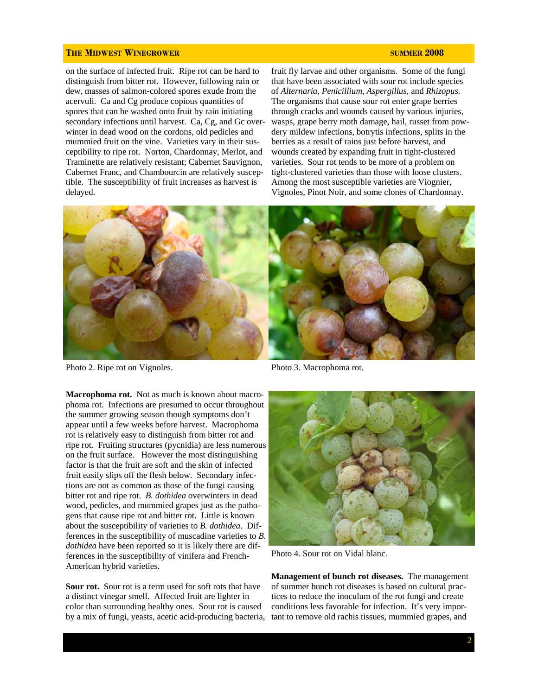on the surface of infected fruit. Ripe rot can be hard to distinguish from bitter rot. However, following rain or dew, masses of salmon-colored spores exude from the acervuli. Ca and Cg produce copious quantities of spores that can be washed onto fruit by rain initiating secondary infections until harvest. Ca, Cg, and Gc overwinter in dead wood on the cordons, old pedicles and mummied fruit on the vine. Varieties vary in their susceptibility to ripe rot. Norton, Chardonnay, Merlot, and Traminette are relatively resistant; Cabernet Sauvignon, Cabernet Franc, and Chambourcin are relatively susceptible. The susceptibility of fruit increases as harvest is delayed.

fruit fly larvae and other organisms. Some of the fungi that have been associated with sour rot include species of *Alternaria*, *Penicillium*, *Aspergillus*, and *Rhizopus*. The organisms that cause sour rot enter grape berries through cracks and wounds caused by various injuries, wasps, grape berry moth damage, hail, russet from powdery mildew infections, botrytis infections, splits in the berries as a result of rains just before harvest, and wounds created by expanding fruit in tight-clustered varieties. Sour rot tends to be more of a problem on tight-clustered varieties than those with loose clusters. Among the most susceptible varieties are Viognier, Vignoles, Pinot Noir, and some clones of Chardonnay.



Photo 2. Ripe rot on Vignoles.

**Macrophoma rot.** Not as much is known about macrophoma rot. Infections are presumed to occur throughout the summer growing season though symptoms don't appear until a few weeks before harvest. Macrophoma rot is relatively easy to distinguish from bitter rot and ripe rot. Fruiting structures (pycnidia) are less numerous on the fruit surface. However the most distinguishing factor is that the fruit are soft and the skin of infected fruit easily slips off the flesh below. Secondary infections are not as common as those of the fungi causing bitter rot and ripe rot. *B. dothidea* overwinters in dead wood, pedicles, and mummied grapes just as the pathogens that cause ripe rot and bitter rot. Little is known about the susceptibility of varieties to *B. dothidea*. Differences in the susceptibility of muscadine varieties to *B. dothidea* have been reported so it is likely there are differences in the susceptibility of vinifera and French-American hybrid varieties.

**Sour rot.** Sour rot is a term used for soft rots that have a distinct vinegar smell. Affected fruit are lighter in color than surrounding healthy ones. Sour rot is caused by a mix of fungi, yeasts, acetic acid-producing bacteria,

Photo 3. Macrophoma rot.



Photo 4. Sour rot on Vidal blanc.

**Management of bunch rot diseases.** The management of summer bunch rot diseases is based on cultural practices to reduce the inoculum of the rot fungi and create conditions less favorable for infection. It's very important to remove old rachis tissues, mummied grapes, and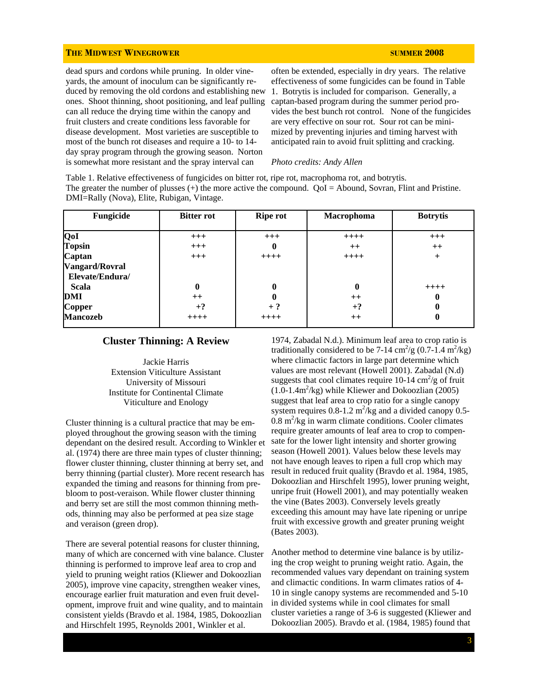dead spurs and cordons while pruning. In older vineyards, the amount of inoculum can be significantly reduced by removing the old cordons and establishing new ones. Shoot thinning, shoot positioning, and leaf pulling can all reduce the drying time within the canopy and fruit clusters and create conditions less favorable for disease development. Most varieties are susceptible to most of the bunch rot diseases and require a 10- to 14 day spray program through the growing season. Norton is somewhat more resistant and the spray interval can

often be extended, especially in dry years. The relative effectiveness of some fungicides can be found in Table 1. Botrytis is included for comparison. Generally, a captan-based program during the summer period provides the best bunch rot control. None of the fungicides are very effective on sour rot. Sour rot can be minimized by preventing injuries and timing harvest with anticipated rain to avoid fruit splitting and cracking.

#### *Photo credits: Andy Allen*

Table 1. Relative effectiveness of fungicides on bitter rot, ripe rot, macrophoma rot, and botrytis. The greater the number of plusses (+) the more active the compound. QoI = Abound, Sovran, Flint and Pristine. DMI=Rally (Nova), Elite, Rubigan, Vintage.

| Fungicide                                | <b>Bitter rot</b> | <b>Ripe rot</b> | Macrophoma | <b>Botrytis</b> |
|------------------------------------------|-------------------|-----------------|------------|-----------------|
| QoI                                      | $+++$             | $+++$           | $++++$     | $+++$           |
| <b>Topsin</b>                            | $+++$             | 0               | $++$       | $++$            |
| Captan                                   | $+++$             | $++++$          | $++++$     | $^{+}$          |
| <b>Vangard/Rovral</b><br>Elevate/Endura/ |                   |                 |            |                 |
| Scala                                    | 0                 | 0               | 0          | $+++++$         |
| DMI                                      | $++$              |                 | $++$       | 0               |
| Copper                                   | $+?$              | $+$ ?           | $+?$       | 0               |
| <b>Mancozeb</b>                          | $++++$            | $++++$          | $++$       | 0               |

#### **Cluster Thinning: A Review**

Jackie Harris Extension Viticulture Assistant University of Missouri Institute for Continental Climate Viticulture and Enology

Cluster thinning is a cultural practice that may be employed throughout the growing season with the timing dependant on the desired result. According to Winkler et al. (1974) there are three main types of cluster thinning; flower cluster thinning, cluster thinning at berry set, and berry thinning (partial cluster). More recent research has expanded the timing and reasons for thinning from prebloom to post-veraison. While flower cluster thinning and berry set are still the most common thinning methods, thinning may also be performed at pea size stage and veraison (green drop).

There are several potential reasons for cluster thinning, many of which are concerned with vine balance. Cluster thinning is performed to improve leaf area to crop and yield to pruning weight ratios (Kliewer and Dokoozlian 2005), improve vine capacity, strengthen weaker vines, encourage earlier fruit maturation and even fruit development, improve fruit and wine quality, and to maintain consistent yields (Bravdo et al. 1984, 1985, Dokoozlian and Hirschfelt 1995, Reynolds 2001, Winkler et al.

1974, Zabadal N.d.). Minimum leaf area to crop ratio is traditionally considered to be 7-14 cm<sup>2</sup>/g (0.7-1.4 m<sup>2</sup>/kg) where climactic factors in large part determine which values are most relevant (Howell 2001). Zabadal (N.d) suggests that cool climates require  $10-14 \text{ cm}^2/\text{g}$  of fruit  $(1.0-1.4m^2/kg)$  while Kliewer and Dokoozlian  $(2005)$ suggest that leaf area to crop ratio for a single canopy system requires  $0.8$ -1.2 m<sup>2</sup>/kg and a divided canopy  $0.5$ - $0.8 \text{ m}^2/\text{kg}$  in warm climate conditions. Cooler climates require greater amounts of leaf area to crop to compensate for the lower light intensity and shorter growing season (Howell 2001). Values below these levels may not have enough leaves to ripen a full crop which may result in reduced fruit quality (Bravdo et al. 1984, 1985, Dokoozlian and Hirschfelt 1995), lower pruning weight, unripe fruit (Howell 2001), and may potentially weaken the vine (Bates 2003). Conversely levels greatly exceeding this amount may have late ripening or unripe fruit with excessive growth and greater pruning weight (Bates 2003).

Another method to determine vine balance is by utilizing the crop weight to pruning weight ratio. Again, the recommended values vary dependant on training system and climactic conditions. In warm climates ratios of 4- 10 in single canopy systems are recommended and 5-10 in divided systems while in cool climates for small cluster varieties a range of 3-6 is suggested (Kliewer and Dokoozlian 2005). Bravdo et al. (1984, 1985) found that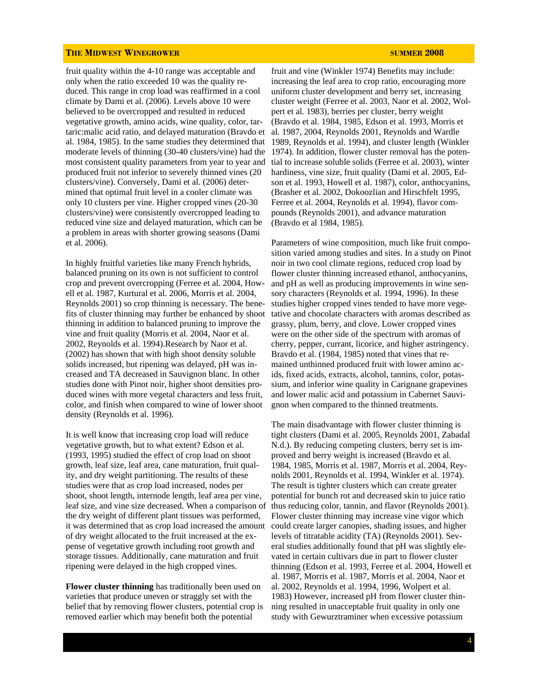fruit quality within the 4-10 range was acceptable and only when the ratio exceeded 10 was the quality reduced. This range in crop load was reaffirmed in a cool climate by Dami et al. (2006). Levels above 10 were believed to be overcropped and resulted in reduced vegetative growth, amino acids, wine quality, color, tartaric:malic acid ratio, and delayed maturation (Bravdo et al. 1984, 1985). In the same studies they determined that most consistent quality parameters from year to year and produced fruit not inferior to severely thinned vines (20 clusters/vine). Conversely, Dami et al. (2006) determined that optimal fruit level in a cooler climate was only 10 clusters per vine. Higher cropped vines (20-30 clusters/vine) were consistently overcropped leading to reduced vine size and delayed maturation, which can be a problem in areas with shorter growing seasons (Dami et al. 2006).

In highly fruitful varieties like many French hybrids, balanced pruning on its own is not sufficient to control crop and prevent overcropping (Ferree et al. 2004, Howell et al. 1987, Kurtural et al. 2006, Morris et al. 2004, Reynolds 2001) so crop thinning is necessary. The benefits of cluster thinning may further be enhanced by shoot thinning in addition to balanced pruning to improve the vine and fruit quality (Morris et al. 2004, Naor et al. 2002, Reynolds et al. 1994).Research by Naor et al. (2002) has shown that with high shoot density soluble solids increased, but ripening was delayed, pH was increased and TA decreased in Sauvignon blanc. In other studies done with Pinot noir, higher shoot densities produced wines with more vegetal characters and less fruit, color, and finish when compared to wine of lower shoot density (Reynolds et al. 1996).

It is well know that increasing crop load will reduce vegetative growth, but to what extent? Edson et al. (1993, 1995) studied the effect of crop load on shoot growth, leaf size, leaf area, cane maturation, fruit quality, and dry weight partitioning. The results of these studies were that as crop load increased, nodes per shoot, shoot length, internode length, leaf area per vine, leaf size, and vine size decreased. When a comparison of the dry weight of different plant tissues was performed, it was determined that as crop load increased the amount of dry weight allocated to the fruit increased at the expense of vegetative growth including root growth and storage tissues. Additionally, cane maturation and fruit ripening were delayed in the high cropped vines.

**Flower cluster thinning** has traditionally been used on varieties that produce uneven or straggly set with the belief that by removing flower clusters, potential crop is removed earlier which may benefit both the potential

moderate levels of thinning (30-40 clusters/vine) had the 1974). In addition, flower cluster removal has the potenfruit and vine (Winkler 1974) Benefits may include: increasing the leaf area to crop ratio, encouraging more uniform cluster development and berry set, increasing cluster weight (Ferree et al. 2003, Naor et al. 2002, Wolpert et al. 1983), berries per cluster, berry weight (Bravdo et al. 1984, 1985, Edson et al. 1993, Morris et al. 1987, 2004, Reynolds 2001, Reynolds and Wardle 1989, Reynolds et al. 1994), and cluster length (Winkler tial to increase soluble solids (Ferree et al. 2003), winter hardiness, vine size, fruit quality (Dami et al. 2005, Edson et al. 1993, Howell et al. 1987), color, anthocyanins, (Brasher et al. 2002, Dokoozlian and Hirschfelt 1995, Ferree et al. 2004, Reynolds et al. 1994), flavor compounds (Reynolds 2001), and advance maturation (Bravdo et al 1984, 1985).

> Parameters of wine composition, much like fruit composition varied among studies and sites. In a study on Pinot noir in two cool climate regions, reduced crop load by flower cluster thinning increased ethanol, anthocyanins, and pH as well as producing improvements in wine sensory characters (Reynolds et al. 1994, 1996). In these studies higher cropped vines tended to have more vegetative and chocolate characters with aromas described as grassy, plum, berry, and clove. Lower cropped vines were on the other side of the spectrum with aromas of cherry, pepper, currant, licorice, and higher astringency. Bravdo et al. (1984, 1985) noted that vines that remained unthinned produced fruit with lower amino acids, fixed acids, extracts, alcohol, tannins, color, potassium, and inferior wine quality in Carignane grapevines and lower malic acid and potassium in Cabernet Sauvignon when compared to the thinned treatments.

> The main disadvantage with flower cluster thinning is tight clusters (Dami et al. 2005, Reynolds 2001, Zabadal N.d.). By reducing competing clusters, berry set is improved and berry weight is increased (Bravdo et al. 1984, 1985, Morris et al. 1987, Morris et al. 2004, Reynolds 2001, Reynolds et al. 1994, Winkler et al. 1974). The result is tighter clusters which can create greater potential for bunch rot and decreased skin to juice ratio thus reducing color, tannin, and flavor (Reynolds 2001). Flower cluster thinning may increase vine vigor which could create larger canopies, shading issues, and higher levels of titratable acidity (TA) (Reynolds 2001). Several studies additionally found that pH was slightly elevated in certain cultivars due in part to flower cluster thinning (Edson et al. 1993, Ferree et al. 2004, Howell et al. 1987, Morris et al. 1987, Morris et al. 2004, Naor et al. 2002, Reynolds et al. 1994, 1996, Wolpert et al. 1983) However, increased pH from flower cluster thinning resulted in unacceptable fruit quality in only one study with Gewurztraminer when excessive potassium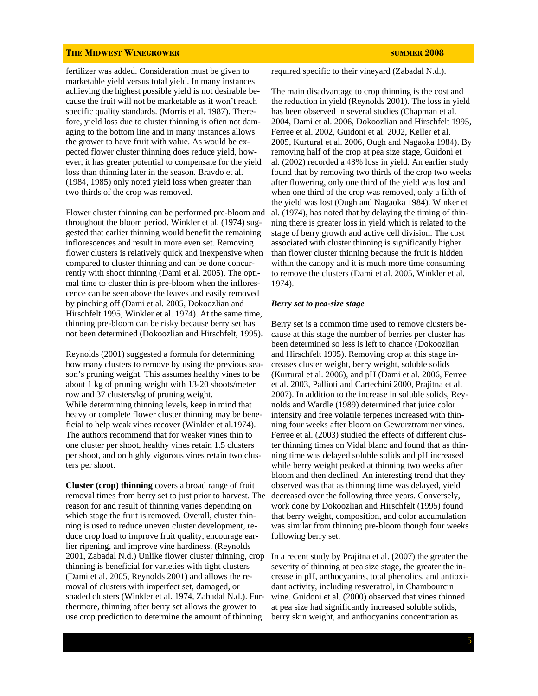fertilizer was added. Consideration must be given to marketable yield versus total yield. In many instances achieving the highest possible yield is not desirable because the fruit will not be marketable as it won't reach specific quality standards. (Morris et al. 1987). Therefore, yield loss due to cluster thinning is often not damaging to the bottom line and in many instances allows the grower to have fruit with value. As would be expected flower cluster thinning does reduce yield, however, it has greater potential to compensate for the yield loss than thinning later in the season. Bravdo et al. (1984, 1985) only noted yield loss when greater than two thirds of the crop was removed.

Flower cluster thinning can be performed pre-bloom and throughout the bloom period. Winkler et al. (1974) suggested that earlier thinning would benefit the remaining inflorescences and result in more even set. Removing flower clusters is relatively quick and inexpensive when compared to cluster thinning and can be done concurrently with shoot thinning (Dami et al. 2005). The optimal time to cluster thin is pre-bloom when the inflorescence can be seen above the leaves and easily removed by pinching off (Dami et al. 2005, Dokoozlian and Hirschfelt 1995, Winkler et al. 1974). At the same time, thinning pre-bloom can be risky because berry set has not been determined (Dokoozlian and Hirschfelt, 1995).

Reynolds (2001) suggested a formula for determining how many clusters to remove by using the previous season's pruning weight. This assumes healthy vines to be about 1 kg of pruning weight with 13-20 shoots/meter row and 37 clusters/kg of pruning weight. While determining thinning levels, keep in mind that heavy or complete flower cluster thinning may be beneficial to help weak vines recover (Winkler et al.1974). The authors recommend that for weaker vines thin to one cluster per shoot, healthy vines retain 1.5 clusters per shoot, and on highly vigorous vines retain two clusters per shoot.

**Cluster (crop) thinning** covers a broad range of fruit removal times from berry set to just prior to harvest. The reason for and result of thinning varies depending on which stage the fruit is removed. Overall, cluster thinning is used to reduce uneven cluster development, reduce crop load to improve fruit quality, encourage earlier ripening, and improve vine hardiness. (Reynolds 2001, Zabadal N.d.) Unlike flower cluster thinning, crop thinning is beneficial for varieties with tight clusters (Dami et al. 2005, Reynolds 2001) and allows the removal of clusters with imperfect set, damaged, or shaded clusters (Winkler et al. 1974, Zabadal N.d.). Furthermore, thinning after berry set allows the grower to use crop prediction to determine the amount of thinning

required specific to their vineyard (Zabadal N.d.).

The main disadvantage to crop thinning is the cost and the reduction in yield (Reynolds 2001). The loss in yield has been observed in several studies (Chapman et al. 2004, Dami et al. 2006, Dokoozlian and Hirschfelt 1995, Ferree et al. 2002, Guidoni et al. 2002, Keller et al. 2005, Kurtural et al. 2006, Ough and Nagaoka 1984). By removing half of the crop at pea size stage, Guidoni et al. (2002) recorded a 43% loss in yield. An earlier study found that by removing two thirds of the crop two weeks after flowering, only one third of the yield was lost and when one third of the crop was removed, only a fifth of the yield was lost (Ough and Nagaoka 1984). Winker et al. (1974), has noted that by delaying the timing of thinning there is greater loss in yield which is related to the stage of berry growth and active cell division. The cost associated with cluster thinning is significantly higher than flower cluster thinning because the fruit is hidden within the canopy and it is much more time consuming to remove the clusters (Dami et al. 2005, Winkler et al. 1974).

#### *Berry set to pea-size stage*

Berry set is a common time used to remove clusters because at this stage the number of berries per cluster has been determined so less is left to chance (Dokoozlian and Hirschfelt 1995). Removing crop at this stage increases cluster weight, berry weight, soluble solids (Kurtural et al. 2006), and pH (Dami et al. 2006, Ferree et al. 2003, Pallioti and Cartechini 2000, Prajitna et al. 2007). In addition to the increase in soluble solids, Reynolds and Wardle (1989) determined that juice color intensity and free volatile terpenes increased with thinning four weeks after bloom on Gewurztraminer vines. Ferree et al. (2003) studied the effects of different cluster thinning times on Vidal blanc and found that as thinning time was delayed soluble solids and pH increased while berry weight peaked at thinning two weeks after bloom and then declined. An interesting trend that they observed was that as thinning time was delayed, yield decreased over the following three years. Conversely, work done by Dokoozlian and Hirschfelt (1995) found that berry weight, composition, and color accumulation was similar from thinning pre-bloom though four weeks following berry set.

In a recent study by Prajitna et al. (2007) the greater the severity of thinning at pea size stage, the greater the increase in pH, anthocyanins, total phenolics, and antioxidant activity, including resveratrol, in Chambourcin wine. Guidoni et al. (2000) observed that vines thinned at pea size had significantly increased soluble solids, berry skin weight, and anthocyanins concentration as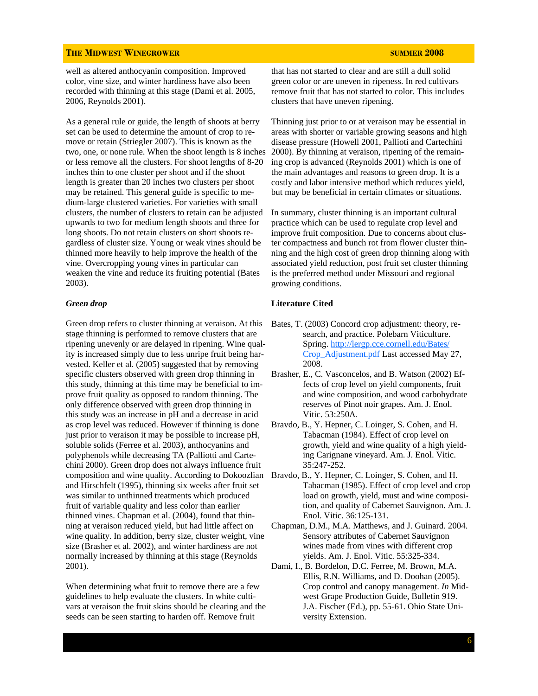well as altered anthocyanin composition. Improved color, vine size, and winter hardiness have also been recorded with thinning at this stage (Dami et al. 2005, 2006, Reynolds 2001).

As a general rule or guide, the length of shoots at berry set can be used to determine the amount of crop to remove or retain (Striegler 2007). This is known as the two, one, or none rule. When the shoot length is 8 inches or less remove all the clusters. For shoot lengths of 8-20 inches thin to one cluster per shoot and if the shoot length is greater than 20 inches two clusters per shoot may be retained. This general guide is specific to medium-large clustered varieties. For varieties with small clusters, the number of clusters to retain can be adjusted upwards to two for medium length shoots and three for long shoots. Do not retain clusters on short shoots regardless of cluster size. Young or weak vines should be thinned more heavily to help improve the health of the vine. Overcropping young vines in particular can weaken the vine and reduce its fruiting potential (Bates 2003).

#### *Green drop*

Green drop refers to cluster thinning at veraison. At this stage thinning is performed to remove clusters that are ripening unevenly or are delayed in ripening. Wine quality is increased simply due to less unripe fruit being harvested. Keller et al. (2005) suggested that by removing specific clusters observed with green drop thinning in this study, thinning at this time may be beneficial to improve fruit quality as opposed to random thinning. The only difference observed with green drop thinning in this study was an increase in pH and a decrease in acid as crop level was reduced. However if thinning is done just prior to veraison it may be possible to increase pH, soluble solids (Ferree et al. 2003), anthocyanins and polyphenols while decreasing TA (Palliotti and Cartechini 2000). Green drop does not always influence fruit composition and wine quality. According to Dokoozlian and Hirschfelt (1995), thinning six weeks after fruit set was similar to unthinned treatments which produced fruit of variable quality and less color than earlier thinned vines. Chapman et al. (2004), found that thinning at veraison reduced yield, but had little affect on wine quality. In addition, berry size, cluster weight, vine size (Brasher et al. 2002), and winter hardiness are not normally increased by thinning at this stage (Reynolds 2001).

When determining what fruit to remove there are a few guidelines to help evaluate the clusters. In white cultivars at veraison the fruit skins should be clearing and the seeds can be seen starting to harden off. Remove fruit

that has not started to clear and are still a dull solid green color or are uneven in ripeness. In red cultivars remove fruit that has not started to color. This includes clusters that have uneven ripening.

Thinning just prior to or at veraison may be essential in areas with shorter or variable growing seasons and high disease pressure (Howell 2001, Pallioti and Cartechini 2000). By thinning at veraison, ripening of the remaining crop is advanced (Reynolds 2001) which is one of the main advantages and reasons to green drop. It is a costly and labor intensive method which reduces yield, but may be beneficial in certain climates or situations.

In summary, cluster thinning is an important cultural practice which can be used to regulate crop level and improve fruit composition. Due to concerns about cluster compactness and bunch rot from flower cluster thinning and the high cost of green drop thinning along with associated yield reduction, post fruit set cluster thinning is the preferred method under Missouri and regional growing conditions.

#### **Literature Cited**

- Bates, T. (2003) Concord crop adjustment: theory, research, and practice. Polebarn Viticulture. Spring. http://lergp.cce.cornell.edu/Bates/ Crop\_Adjustment.pdf Last accessed May 27, 2008.
- Brasher, E., C. Vasconcelos, and B. Watson (2002) Effects of crop level on yield components, fruit and wine composition, and wood carbohydrate reserves of Pinot noir grapes. Am. J. Enol. Vitic. 53:250A.
- Bravdo, B., Y. Hepner, C. Loinger, S. Cohen, and H. Tabacman (1984). Effect of crop level on growth, yield and wine quality of a high yielding Carignane vineyard. Am. J. Enol. Vitic. 35:247-252.
- Bravdo, B., Y. Hepner, C. Loinger, S. Cohen, and H. Tabacman (1985). Effect of crop level and crop load on growth, yield, must and wine composition, and quality of Cabernet Sauvignon. Am. J. Enol. Vitic. 36:125-131.
- Chapman, D.M., M.A. Matthews, and J. Guinard. 2004. Sensory attributes of Cabernet Sauvignon wines made from vines with different crop yields. Am. J. Enol. Vitic. 55:325-334.
- Dami, I., B. Bordelon, D.C. Ferree, M. Brown, M.A. Ellis, R.N. Williams, and D. Doohan (2005). Crop control and canopy management. *In* Midwest Grape Production Guide, Bulletin 919. J.A. Fischer (Ed.), pp. 55-61. Ohio State University Extension.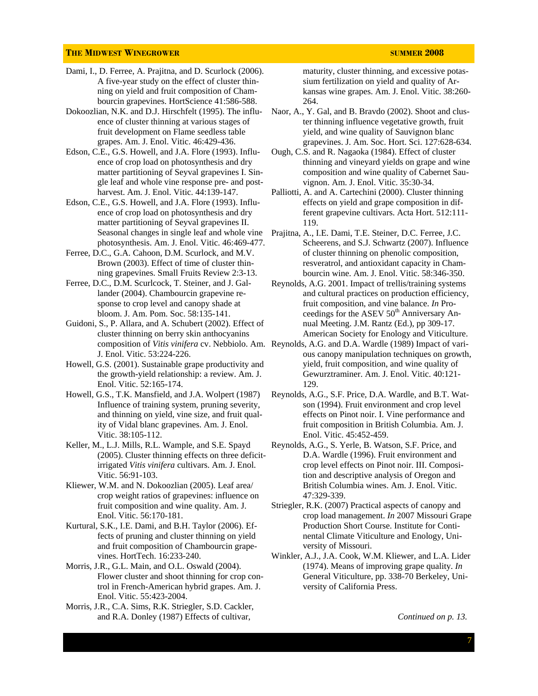- Dami, I., D. Ferree, A. Prajitna, and D. Scurlock (2006). A five-year study on the effect of cluster thinning on yield and fruit composition of Chambourcin grapevines. HortScience 41:586-588.
- Dokoozlian, N.K. and D.J. Hirschfelt (1995). The influence of cluster thinning at various stages of fruit development on Flame seedless table grapes. Am. J. Enol. Vitic. 46:429-436.
- Edson, C.E., G.S. Howell, and J.A. Flore (1993). Influence of crop load on photosynthesis and dry matter partitioning of Seyval grapevines I. Single leaf and whole vine response pre- and postharvest. Am. J. Enol. Vitic. 44:139-147.
- Edson, C.E., G.S. Howell, and J.A. Flore (1993). Influence of crop load on photosynthesis and dry matter partitioning of Seyval grapevines II. Seasonal changes in single leaf and whole vine photosynthesis. Am. J. Enol. Vitic. 46:469-477.
- Ferree, D.C., G.A. Cahoon, D.M. Scurlock, and M.V. Brown (2003). Effect of time of cluster thinning grapevines. Small Fruits Review 2:3-13.
- Ferree, D.C., D.M. Scurlcock, T. Steiner, and J. Gallander (2004). Chambourcin grapevine response to crop level and canopy shade at bloom. J. Am. Pom. Soc. 58:135-141.
- Guidoni, S., P. Allara, and A. Schubert (2002). Effect of cluster thinning on berry skin anthocyanins J. Enol. Vitic. 53:224-226.
- Howell, G.S. (2001). Sustainable grape productivity and the growth-yield relationship: a review. Am. J. Enol. Vitic. 52:165-174.
- Howell, G.S., T.K. Mansfield, and J.A. Wolpert (1987) Influence of training system, pruning severity, and thinning on yield, vine size, and fruit quality of Vidal blanc grapevines. Am. J. Enol. Vitic. 38:105-112.
- Keller, M., L.J. Mills, R.L. Wample, and S.E. Spayd (2005). Cluster thinning effects on three deficitirrigated *Vitis vinifera* cultivars. Am. J. Enol. Vitic. 56:91-103.
- Kliewer, W.M. and N. Dokoozlian (2005). Leaf area/ crop weight ratios of grapevines: influence on fruit composition and wine quality. Am. J. Enol. Vitic. 56:170-181.
- Kurtural, S.K., I.E. Dami, and B.H. Taylor (2006). Effects of pruning and cluster thinning on yield and fruit composition of Chambourcin grapevines. HortTech. 16:233-240.
- Morris, J.R., G.L. Main, and O.L. Oswald (2004). Flower cluster and shoot thinning for crop control in French-American hybrid grapes. Am. J. Enol. Vitic. 55:423-2004.
- Morris, J.R., C.A. Sims, R.K. Striegler, S.D. Cackler, and R.A. Donley (1987) Effects of cultivar,

maturity, cluster thinning, and excessive potassium fertilization on yield and quality of Arkansas wine grapes. Am. J. Enol. Vitic. 38:260- 264.

- Naor, A., Y. Gal, and B. Bravdo (2002). Shoot and cluster thinning influence vegetative growth, fruit yield, and wine quality of Sauvignon blanc grapevines. J. Am. Soc. Hort. Sci. 127:628-634.
- Ough, C.S. and R. Nagaoka (1984). Effect of cluster thinning and vineyard yields on grape and wine composition and wine quality of Cabernet Sauvignon. Am. J. Enol. Vitic. 35:30-34.
- Palliotti, A. and A. Cartechini (2000). Cluster thinning effects on yield and grape composition in different grapevine cultivars. Acta Hort. 512:111- 119.
- Prajitna, A., I.E. Dami, T.E. Steiner, D.C. Ferree, J.C. Scheerens, and S.J. Schwartz (2007). Influence of cluster thinning on phenolic composition, resveratrol, and antioxidant capacity in Chambourcin wine. Am. J. Enol. Vitic. 58:346-350.
- Reynolds, A.G. 2001. Impact of trellis/training systems and cultural practices on production efficiency, fruit composition, and vine balance. *In* Proceedings for the ASEV  $50<sup>th</sup>$  Anniversary Annual Meeting. J.M. Rantz (Ed.), pp 309-17. American Society for Enology and Viticulture.
- composition of *Vitis vinifera* cv. Nebbiolo. Am. Reynolds, A.G. and D.A. Wardle (1989) Impact of various canopy manipulation techniques on growth, yield, fruit composition, and wine quality of Gewurztraminer. Am. J. Enol. Vitic. 40:121- 129.
	- Reynolds, A.G., S.F. Price, D.A. Wardle, and B.T. Watson (1994). Fruit environment and crop level effects on Pinot noir. I. Vine performance and fruit composition in British Columbia. Am. J. Enol. Vitic. 45:452-459.
	- Reynolds, A.G., S. Yerle, B. Watson, S.F. Price, and D.A. Wardle (1996). Fruit environment and crop level effects on Pinot noir. III. Composition and descriptive analysis of Oregon and British Columbia wines. Am. J. Enol. Vitic. 47:329-339.
	- Striegler, R.K. (2007) Practical aspects of canopy and crop load management. *In* 2007 Missouri Grape Production Short Course. Institute for Continental Climate Viticulture and Enology, University of Missouri.
	- Winkler, A.J., J.A. Cook, W.M. Kliewer, and L.A. Lider (1974). Means of improving grape quality. *In*  General Viticulture, pp. 338-70 Berkeley, University of California Press.

*Continued on p. 13.*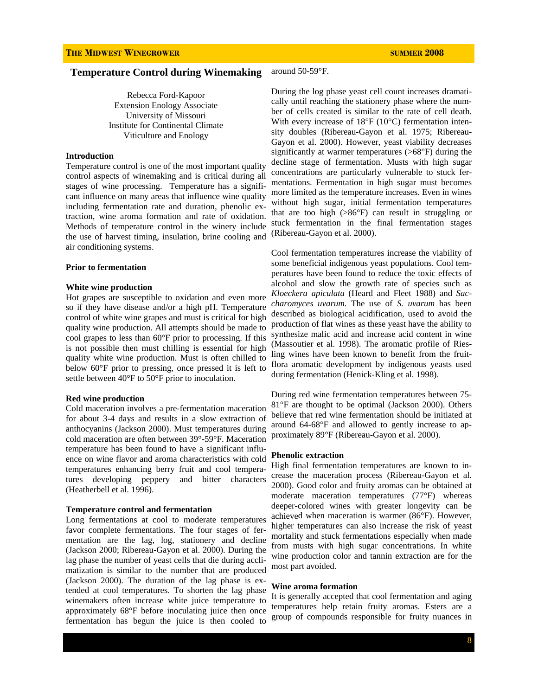#### **Temperature Control during Winemaking**  around 50-59°F.

Rebecca Ford-Kapoor Extension Enology Associate University of Missouri Institute for Continental Climate Viticulture and Enology

#### **Introduction**

Temperature control is one of the most important quality control aspects of winemaking and is critical during all stages of wine processing. Temperature has a significant influence on many areas that influence wine quality including fermentation rate and duration, phenolic extraction, wine aroma formation and rate of oxidation. Methods of temperature control in the winery include the use of harvest timing, insulation, brine cooling and air conditioning systems.

#### **Prior to fermentation**

#### **White wine production**

Hot grapes are susceptible to oxidation and even more so if they have disease and/or a high pH. Temperature control of white wine grapes and must is critical for high quality wine production. All attempts should be made to cool grapes to less than 60°F prior to processing. If this is not possible then must chilling is essential for high quality white wine production. Must is often chilled to below 60°F prior to pressing, once pressed it is left to settle between 40°F to 50°F prior to inoculation.

#### **Red wine production**

Cold maceration involves a pre-fermentation maceration for about 3-4 days and results in a slow extraction of anthocyanins (Jackson 2000). Must temperatures during cold maceration are often between 39°-59°F. Maceration temperature has been found to have a significant influence on wine flavor and aroma characteristics with cold temperatures enhancing berry fruit and cool temperatures developing peppery and bitter characters (Heatherbell et al. 1996).

#### **Temperature control and fermentation**

Long fermentations at cool to moderate temperatures favor complete fermentations. The four stages of fermentation are the lag, log, stationery and decline (Jackson 2000; Ribereau-Gayon et al. 2000). During the lag phase the number of yeast cells that die during acclimatization is similar to the number that are produced (Jackson 2000). The duration of the lag phase is extended at cool temperatures. To shorten the lag phase winemakers often increase white juice temperature to approximately 68°F before inoculating juice then once fermentation has begun the juice is then cooled to

During the log phase yeast cell count increases dramatically until reaching the stationery phase where the number of cells created is similar to the rate of cell death. With every increase of 18°F (10°C) fermentation intensity doubles (Ribereau-Gayon et al. 1975; Ribereau-Gayon et al. 2000). However, yeast viability decreases significantly at warmer temperatures (>68°F) during the decline stage of fermentation. Musts with high sugar concentrations are particularly vulnerable to stuck fermentations. Fermentation in high sugar must becomes more limited as the temperature increases. Even in wines without high sugar, initial fermentation temperatures that are too high (>86°F) can result in struggling or stuck fermentation in the final fermentation stages (Ribereau-Gayon et al. 2000).

Cool fermentation temperatures increase the viability of some beneficial indigenous yeast populations. Cool temperatures have been found to reduce the toxic effects of alcohol and slow the growth rate of species such as *Kloeckera apiculata* (Heard and Fleet 1988) and *Saccharomyces uvarum*. The use of *S. uvarum* has been described as biological acidification, used to avoid the production of flat wines as these yeast have the ability to synthesize malic acid and increase acid content in wine (Massoutier et al. 1998). The aromatic profile of Riesling wines have been known to benefit from the fruitflora aromatic development by indigenous yeasts used during fermentation (Henick-Kling et al. 1998).

During red wine fermentation temperatures between 75- 81°F are thought to be optimal (Jackson 2000). Others believe that red wine fermentation should be initiated at around 64-68°F and allowed to gently increase to approximately 89°F (Ribereau-Gayon et al. 2000).

#### **Phenolic extraction**

High final fermentation temperatures are known to increase the maceration process (Ribereau-Gayon et al. 2000). Good color and fruity aromas can be obtained at moderate maceration temperatures (77°F) whereas deeper-colored wines with greater longevity can be achieved when maceration is warmer (86°F). However, higher temperatures can also increase the risk of yeast mortality and stuck fermentations especially when made from musts with high sugar concentrations. In white wine production color and tannin extraction are for the most part avoided.

#### **Wine aroma formation**

It is generally accepted that cool fermentation and aging temperatures help retain fruity aromas. Esters are a group of compounds responsible for fruity nuances in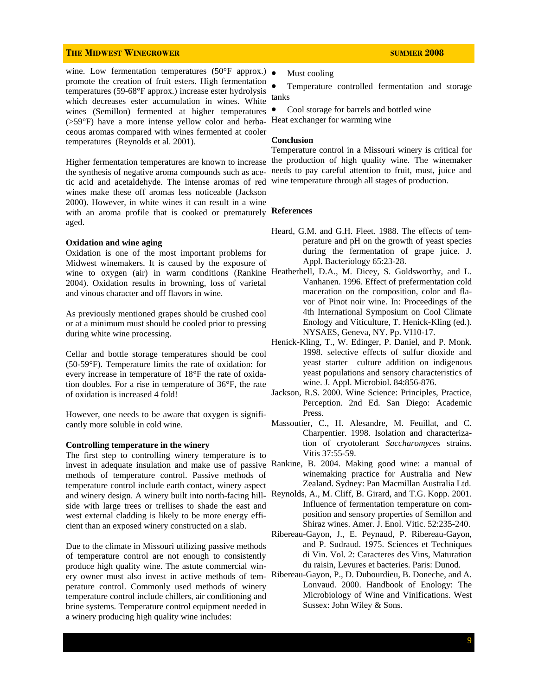wine. Low fermentation temperatures (50°F approx.)  $\bullet$ promote the creation of fruit esters. High fermentation temperatures (59-68°F approx.) increase ester hydrolysis which decreases ester accumulation in wines. White wines (Semillon) fermented at higher temperatures (>59°F) have a more intense yellow color and herbaceous aromas compared with wines fermented at cooler temperatures (Reynolds et al. 2001).

the synthesis of negative aroma compounds such as acetic acid and acetaldehyde. The intense aromas of red wines make these off aromas less noticeable (Jackson 2000). However, in white wines it can result in a wine with an aroma profile that is cooked or prematurely **References**  aged.

#### **Oxidation and wine aging**

Oxidation is one of the most important problems for Midwest winemakers. It is caused by the exposure of wine to oxygen (air) in warm conditions (Rankine Heatherbell, D.A., M. Dicey, S. Goldsworthy, and L. 2004). Oxidation results in browning, loss of varietal and vinous character and off flavors in wine.

As previously mentioned grapes should be crushed cool or at a minimum must should be cooled prior to pressing during white wine processing.

Cellar and bottle storage temperatures should be cool (50-59°F). Temperature limits the rate of oxidation: for every increase in temperature of 18°F the rate of oxidation doubles. For a rise in temperature of 36°F, the rate of oxidation is increased 4 fold!

However, one needs to be aware that oxygen is significantly more soluble in cold wine.

#### **Controlling temperature in the winery**

The first step to controlling winery temperature is to invest in adequate insulation and make use of passive Rankine, B. 2004. Making good wine: a manual of methods of temperature control. Passive methods of temperature control include earth contact, winery aspect and winery design. A winery built into north-facing hill-Reynolds, A., M. Cliff, B. Girard, and T.G. Kopp. 2001. side with large trees or trellises to shade the east and west external cladding is likely to be more energy efficient than an exposed winery constructed on a slab.

Due to the climate in Missouri utilizing passive methods of temperature control are not enough to consistently produce high quality wine. The astute commercial winery owner must also invest in active methods of temperature control. Commonly used methods of winery temperature control include chillers, air conditioning and brine systems. Temperature control equipment needed in a winery producing high quality wine includes:

Must cooling

Temperature controlled fermentation and storage tanks

• Cool storage for barrels and bottled wine Heat exchanger for warming wine

### **Conclusion**

Higher fermentation temperatures are known to increase the production of high quality wine. The winemaker Temperature control in a Missouri winery is critical for needs to pay careful attention to fruit, must, juice and wine temperature through all stages of production.

- Heard, G.M. and G.H. Fleet. 1988. The effects of tem perature and pH on the growth of yeast species during the fermentation of grape juice. J. Appl. Bacteriology 65:23-28.
- Vanhanen. 1996. Effect of prefermentation cold maceration on the composition, color and fla vor of Pinot noir wine. In: Proceedings of the 4th International Symposium on Cool Climate Enology and Viticulture, T. Henick-Kling (ed.). NYSAES, Geneva, NY. Pp. VI10-17.
- Henick-Kling, T., W. Edinger, P. Daniel, and P. Monk. 1998. selective effects of sulfur dioxide and yeast starter culture addition on indigenous yeast populations and sensory characteristics of wine. J. Appl. Microbiol. 84:856-876.
- Jackson, R.S. 2000. Wine Science: Principles, Practice, Perception. 2nd Ed. San Diego: Academic Press.
- Massoutier, C., H. Alesandre, M. Feuillat, and C. Charpentier. 1998. Isolation and characteriza tion of cryotolerant *Saccharomyces* strains. Vitis 37:55-59.
- winemaking practice for Australia and New Zealand. Sydney: Pan Macmillan Australia Ltd.
- Influence of fermentation temperature on com position and sensory properties of Semillon and Shiraz wines. Amer. J. Enol. Vitic. 52:235-240.
- Ribereau-Gayon, J., E. Peynaud, P. Ribereau-Gayon, and P. Sudraud. 1975. Sciences et Techniques di Vin. Vol. 2: Caracteres des Vins, Maturation du raisin, Levures et bacteries. Paris: Dunod.
- Ribereau-Gayon, P., D. Dubourdieu, B. Doneche, and A. Lonvaud. 2000. Handbook of Enology: The Microbiology of Wine and Vinifications. West Sussex: John Wiley & Sons.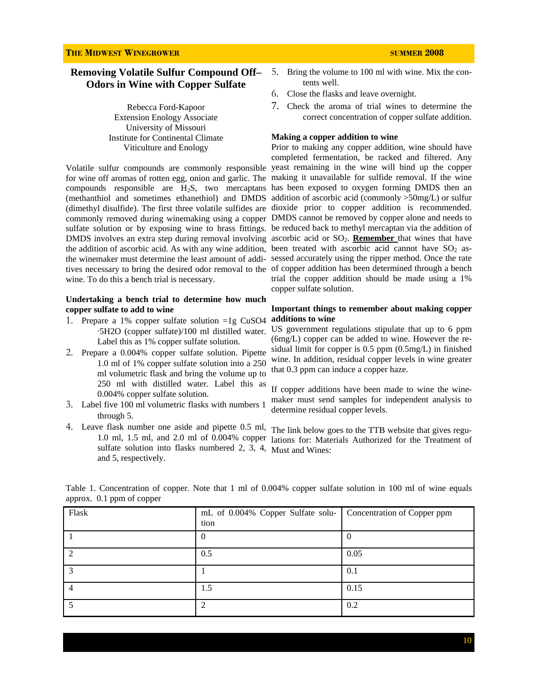### **THE MIDWEST WINEGROWER SUMMER 2008**

### **Removing Volatile Sulfur Compound Off– Odors in Wine with Copper Sulfate**

Rebecca Ford-Kapoor Extension Enology Associate University of Missouri Institute for Continental Climate Viticulture and Enology

wine. To do this a bench trial is necessary.

#### **Undertaking a bench trial to determine how much copper sulfate to add to wine**

- 1. Prepare a 1% copper sulfate solution =1g CuSO4 ·5H2O (copper sulfate)/100 ml distilled water. Label this as 1% copper sulfate solution.
- 2. Prepare a 0.004% copper sulfate solution. Pipette 1.0 ml of 1% copper sulfate solution into a 250 ml volumetric flask and bring the volume up to 250 ml with distilled water. Label this as 0.004% copper sulfate solution.
- 3. Label five 100 ml volumetric flasks with numbers 1 through 5.
- 4. Leave flask number one aside and pipette 0.5 ml, sulfate solution into flasks numbered 2, 3, 4, Must and Wines: and 5, respectively.
- 5. Bring the volume to 100 ml with wine. Mix the con tents well.
- 6. Close the flasks and leave overnight.
- 7. Check the aroma of trial wines to determine the correct concentration of copper sulfate addition.

#### **Making a copper addition to wine**

Volatile sulfur compounds are commonly responsible yeast remaining in the wine will bind up the copper for wine off aromas of rotten egg, onion and garlic. The making it unavailable for sulfide removal. If the wine compounds responsible are  $H_2S$ , two mercaptans has been exposed to oxygen forming DMDS then an (methanthiol and sometimes ethanethiol) and DMDS addition of ascorbic acid (commonly >50mg/L) or sulfur (dimethyl disulfide). The first three volatile sulfides are dioxide prior to copper addition is recommended. commonly removed during winemaking using a copper DMDS cannot be removed by copper alone and needs to sulfate solution or by exposing wine to brass fittings. be reduced back to methyl mercaptan via the addition of DMDS involves an extra step during removal involving ascorbic acid or SO<sub>2</sub>. Remember that wines that have the addition of ascorbic acid. As with any wine addition, been treated with ascorbic acid cannot have  $SO_2$  asthe winemaker must determine the least amount of addi-sessed accurately using the ripper method. Once the rate tives necessary to bring the desired odor removal to the of copper addition has been determined through a bench Prior to making any copper addition, wine should have completed fermentation, be racked and filtered. Any trial the copper addition should be made using a 1% copper sulfate solution.

#### **Important things to remember about making copper additions to wine**

US government regulations stipulate that up to 6 ppm (6mg/L) copper can be added to wine. However the residual limit for copper is 0.5 ppm (0.5mg/L) in finished wine. In addition, residual copper levels in wine greater that 0.3 ppm can induce a copper haze.

If copper additions have been made to wine the winemaker must send samples for independent analysis to determine residual copper levels.

 1.0 ml, 1.5 ml, and 2.0 ml of 0.004% copper lations for: Materials Authorized for the Treatment of The link below goes to the TTB website that gives regu-

Table 1. Concentration of copper. Note that 1 ml of 0.004% copper sulfate solution in 100 ml of wine equals approx. 0.1 ppm of copper

| Flask        | mL of 0.004% Copper Sulfate solu- Concentration of Copper ppm<br>tion |          |
|--------------|-----------------------------------------------------------------------|----------|
|              | $\theta$                                                              | $\bf{0}$ |
|              | 0.5                                                                   | 0.05     |
| $\mathbf{z}$ |                                                                       | 0.1      |
| $\Delta$     | 1.5                                                                   | 0.15     |
|              |                                                                       | 0.2      |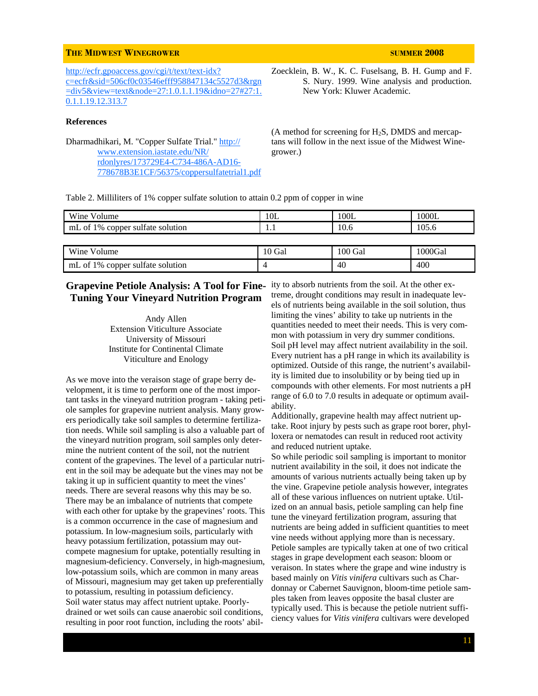http://ecfr.gpoaccess.gov/cgi/t/text/text-idx? c=ecfr&sid=506cf0c03546efff958847134c5527d3&rgn =div5&view=text&node=27:1.0.1.1.19&idno=27#27:1. 0.1.1.19.12.313.7

#### **References**

Dharmadhikari, M. "Copper Sulfate Trial." http:// www.extension.iastate.edu/NR/ rdonlyres/173729E4-C734-486A-AD16- 778678B3E1CF/56375/coppersulfatetrial1.pdf Zoecklein, B. W., K. C. Fuselsang, B. H. Gump and F. S. Nury. 1999. Wine analysis and production. New York: Kluwer Academic.

 $(A \text{ method for screening for } H_2S, \text{DMDS and mercap-}$ tans will follow in the next issue of the Midwest Winegrower.)

Table 2. Milliliters of 1% copper sulfate solution to attain 0.2 ppm of copper in wine

| Wine Volume                      | 10L    | 100L    | 1000L   |
|----------------------------------|--------|---------|---------|
| mL of 1% copper sulfate solution | 1.1    | 10.6    | 105.6   |
|                                  |        |         |         |
| Wine Volume                      | 10 Gal | 100 Gal | 1000Gal |
| mL of 1% copper sulfate solution |        | 40      | 400     |

## **Tuning Your Vineyard Nutrition Program**

Andy Allen Extension Viticulture Associate University of Missouri Institute for Continental Climate Viticulture and Enology

As we move into the veraison stage of grape berry development, it is time to perform one of the most important tasks in the vineyard nutrition program - taking petiole samples for grapevine nutrient analysis. Many growers periodically take soil samples to determine fertilization needs. While soil sampling is also a valuable part of the vineyard nutrition program, soil samples only determine the nutrient content of the soil, not the nutrient content of the grapevines. The level of a particular nutrient in the soil may be adequate but the vines may not be taking it up in sufficient quantity to meet the vines' needs. There are several reasons why this may be so. There may be an imbalance of nutrients that compete with each other for uptake by the grapevines' roots. This is a common occurrence in the case of magnesium and potassium. In low-magnesium soils, particularly with heavy potassium fertilization, potassium may outcompete magnesium for uptake, potentially resulting in magnesium-deficiency. Conversely, in high-magnesium, low-potassium soils, which are common in many areas of Missouri, magnesium may get taken up preferentially to potassium, resulting in potassium deficiency. Soil water status may affect nutrient uptake. Poorlydrained or wet soils can cause anaerobic soil conditions, resulting in poor root function, including the roots' abil-

**Grapevine Petiole Analysis: A Tool for Fine-**ity to absorb nutrients from the soil. At the other extreme, drought conditions may result in inadequate levels of nutrients being available in the soil solution, thus limiting the vines' ability to take up nutrients in the quantities needed to meet their needs. This is very common with potassium in very dry summer conditions. Soil pH level may affect nutrient availability in the soil. Every nutrient has a pH range in which its availability is optimized. Outside of this range, the nutrient's availability is limited due to insolubility or by being tied up in compounds with other elements. For most nutrients a pH range of 6.0 to 7.0 results in adequate or optimum availability.

> Additionally, grapevine health may affect nutrient uptake. Root injury by pests such as grape root borer, phylloxera or nematodes can result in reduced root activity and reduced nutrient uptake.

> So while periodic soil sampling is important to monitor nutrient availability in the soil, it does not indicate the amounts of various nutrients actually being taken up by the vine. Grapevine petiole analysis however, integrates all of these various influences on nutrient uptake. Utilized on an annual basis, petiole sampling can help fine tune the vineyard fertilization program, assuring that nutrients are being added in sufficient quantities to meet vine needs without applying more than is necessary. Petiole samples are typically taken at one of two critical stages in grape development each season: bloom or veraison. In states where the grape and wine industry is based mainly on *Vitis vinifera* cultivars such as Chardonnay or Cabernet Sauvignon, bloom-time petiole samples taken from leaves opposite the basal cluster are typically used. This is because the petiole nutrient sufficiency values for *Vitis vinifera* cultivars were developed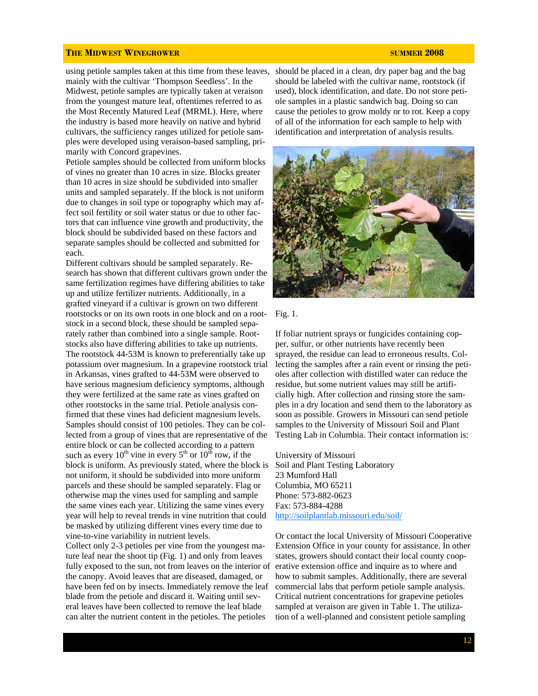using petiole samples taken at this time from these leaves, should be placed in a clean, dry paper bag and the bag mainly with the cultivar 'Thompson Seedless'. In the

Midwest, petiole samples are typically taken at veraison from the youngest mature leaf, oftentimes referred to as the Most Recently Matured Leaf (MRML). Here, where the industry is based more heavily on native and hybrid cultivars, the sufficiency ranges utilized for petiole samples were developed using veraison-based sampling, primarily with Concord grapevines.

Petiole samples should be collected from uniform blocks of vines no greater than 10 acres in size. Blocks greater than 10 acres in size should be subdivided into smaller units and sampled separately. If the block is not uniform due to changes in soil type or topography which may affect soil fertility or soil water status or due to other factors that can influence vine growth and productivity, the block should be subdivided based on these factors and separate samples should be collected and submitted for each.

Different cultivars should be sampled separately. Research has shown that different cultivars grown under the same fertilization regimes have differing abilities to take up and utilize fertilizer nutrients. Additionally, in a grafted vineyard if a cultivar is grown on two different rootstocks or on its own roots in one block and on a rootstock in a second block, these should be sampled separately rather than combined into a single sample. Rootstocks also have differing abilities to take up nutrients. The rootstock 44-53M is known to preferentially take up potassium over magnesium. In a grapevine rootstock trial in Arkansas, vines grafted to 44-53M were observed to have serious magnesium deficiency symptoms, although they were fertilized at the same rate as vines grafted on other rootstocks in the same trial. Petiole analysis confirmed that these vines had deficient magnesium levels. Samples should consist of 100 petioles. They can be collected from a group of vines that are representative of the entire block or can be collected according to a pattern such as every  $10^{th}$  vine in every  $5^{th}$  or  $10^{th}$  row, if the block is uniform. As previously stated, where the block is not uniform, it should be subdivided into more uniform parcels and these should be sampled separately. Flag or otherwise map the vines used for sampling and sample the same vines each year. Utilizing the same vines every year will help to reveal trends in vine nutrition that could be masked by utilizing different vines every time due to vine-to-vine variability in nutrient levels.

Collect only 2-3 petioles per vine from the youngest mature leaf near the shoot tip (Fig. 1) and only from leaves fully exposed to the sun, not from leaves on the interior of the canopy. Avoid leaves that are diseased, damaged, or have been fed on by insects. Immediately remove the leaf blade from the petiole and discard it. Waiting until several leaves have been collected to remove the leaf blade can alter the nutrient content in the petioles. The petioles

should be labeled with the cultivar name, rootstock (if used), block identification, and date. Do not store petiole samples in a plastic sandwich bag. Doing so can cause the petioles to grow moldy or to rot. Keep a copy of all of the information for each sample to help with identification and interpretation of analysis results.





If foliar nutrient sprays or fungicides containing copper, sulfur, or other nutrients have recently been sprayed, the residue can lead to erroneous results. Collecting the samples after a rain event or rinsing the petioles after collection with distilled water can reduce the residue, but some nutrient values may still be artificially high. After collection and rinsing store the samples in a dry location and send them to the laboratory as soon as possible. Growers in Missouri can send petiole samples to the University of Missouri Soil and Plant Testing Lab in Columbia. Their contact information is:

University of Missouri Soil and Plant Testing Laboratory 23 Mumford Hall Columbia, MO 65211 Phone: 573-882-0623 Fax: 573-884-4288 http://soilplantlab.missouri.edu/soil/

Or contact the local University of Missouri Cooperative Extension Office in your county for assistance. In other states, growers should contact their local county cooperative extension office and inquire as to where and how to submit samples. Additionally, there are several commercial labs that perform petiole sample analysis. Critical nutrient concentrations for grapevine petioles sampled at veraison are given in Table 1. The utilization of a well-planned and consistent petiole sampling